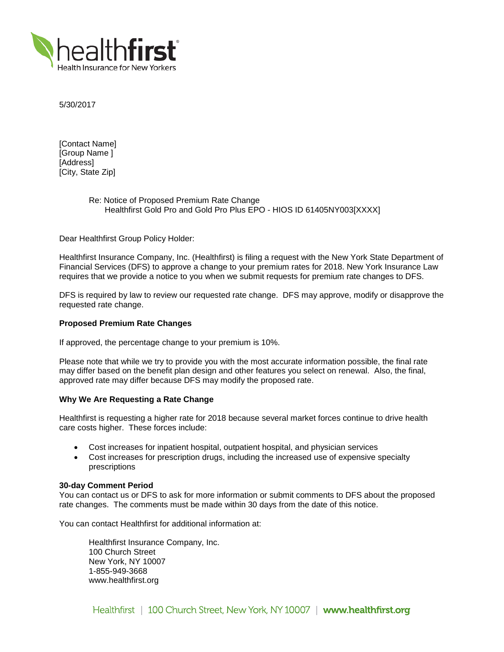

5/30/2017

[Contact Name] [Group Name ] [Address] [City, State Zip]

# Re: Notice of Proposed Premium Rate Change Healthfirst Gold Pro and Gold Pro Plus EPO - HIOS ID 61405NY003[XXXX]

Dear Healthfirst Group Policy Holder:

Healthfirst Insurance Company, Inc. (Healthfirst) is filing a request with the New York State Department of Financial Services (DFS) to approve a change to your premium rates for 2018. New York Insurance Law requires that we provide a notice to you when we submit requests for premium rate changes to DFS.

DFS is required by law to review our requested rate change. DFS may approve, modify or disapprove the requested rate change.

#### **Proposed Premium Rate Changes**

If approved, the percentage change to your premium is 10%.

Please note that while we try to provide you with the most accurate information possible, the final rate may differ based on the benefit plan design and other features you select on renewal. Also, the final, approved rate may differ because DFS may modify the proposed rate.

## **Why We Are Requesting a Rate Change**

Healthfirst is requesting a higher rate for 2018 because several market forces continue to drive health care costs higher. These forces include:

- Cost increases for inpatient hospital, outpatient hospital, and physician services
- Cost increases for prescription drugs, including the increased use of expensive specialty prescriptions

#### **30-day Comment Period**

You can contact us or DFS to ask for more information or submit comments to DFS about the proposed rate changes. The comments must be made within 30 days from the date of this notice.

You can contact Healthfirst for additional information at:

Healthfirst Insurance Company, Inc. 100 Church Street New York, NY 10007 1-855-949-3668 www.healthfirst.org